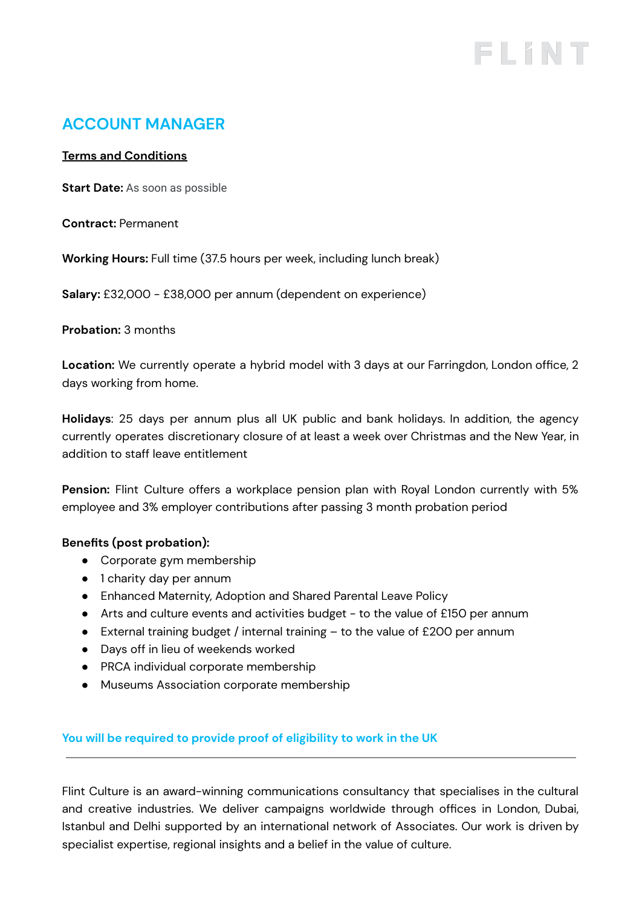# FLINT

# **ACCOUNT MANAGER**

#### **Terms and Conditions**

**Start Date:** As soon as possible

**Contract:** Permanent

**Working Hours:** Full time (37.5 hours per week, including lunch break)

**Salary:** £32,000 - £38,000 per annum (dependent on experience)

**Probation:** 3 months

**Location:** We currently operate a hybrid model with 3 days at our Farringdon, London office, 2 days working from home.

**Holidays**: 25 days per annum plus all UK public and bank holidays. In addition, the agency currently operates discretionary closure of at least a week over Christmas and the New Year, in addition to staff leave entitlement

**Pension:** Flint Culture offers a workplace pension plan with Royal London currently with 5% employee and 3% employer contributions after passing 3 month probation period

# **Benefits (post probation):**

- Corporate gym membership
- 1 charity day per annum
- Enhanced Maternity, Adoption and Shared Parental Leave Policy
- Arts and culture events and activities budget to the value of £150 per annum
- **•** External training budget / internal training  $-$  to the value of £200 per annum
- Days off in lieu of weekends worked
- PRCA individual corporate membership
- Museums Association corporate membership

**You will be required to provide proof of eligibility to work in the UK**

Flint Culture is an award-winning communications consultancy that specialises in the cultural and creative industries. We deliver campaigns worldwide through offices in London, Dubai, Istanbul and Delhi supported by an international network of Associates. Our work is driven by specialist expertise, regional insights and a belief in the value of culture.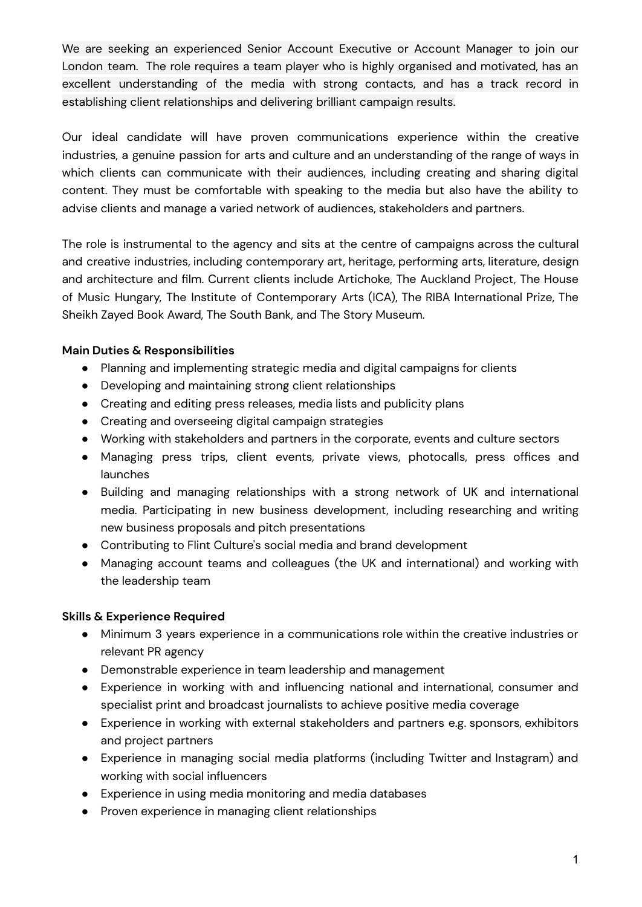We are seeking an experienced Senior Account Executive or Account Manager to join our London team. The role requires a team player who is highly organised and motivated, has an excellent understanding of the media with strong contacts, and has a track record in establishing client relationships and delivering brilliant campaign results.

Our ideal candidate will have proven communications experience within the creative industries, a genuine passion for arts and culture and an understanding of the range of ways in which clients can communicate with their audiences, including creating and sharing digital content. They must be comfortable with speaking to the media but also have the ability to advise clients and manage a varied network of audiences, stakeholders and partners.

The role is instrumental to the agency and sits at the centre of campaigns across the cultural and creative industries, including contemporary art, heritage, performing arts, literature, design and architecture and film. Current clients include Artichoke, The Auckland Project, The House of Music Hungary, The Institute of Contemporary Arts (ICA), The RIBA International Prize, The Sheikh Zayed Book Award, The South Bank, and The Story Museum.

# **Main Duties & Responsibilities**

- Planning and implementing strategic media and digital campaigns for clients
- Developing and maintaining strong client relationships
- Creating and editing press releases, media lists and publicity plans
- Creating and overseeing digital campaign strategies
- Working with stakeholders and partners in the corporate, events and culture sectors
- Managing press trips, client events, private views, photocalls, press offices and launches
- Building and managing relationships with a strong network of UK and international media. Participating in new business development, including researching and writing new business proposals and pitch presentations
- Contributing to Flint Culture's social media and brand development
- Managing account teams and colleagues (the UK and international) and working with the leadership team

# **Skills & Experience Required**

- Minimum 3 years experience in a communications role within the creative industries or relevant PR agency
- Demonstrable experience in team leadership and management
- Experience in working with and influencing national and international, consumer and specialist print and broadcast journalists to achieve positive media coverage
- Experience in working with external stakeholders and partners e.g. sponsors, exhibitors and project partners
- Experience in managing social media platforms (including Twitter and Instagram) and working with social influencers
- Experience in using media monitoring and media databases
- Proven experience in managing client relationships